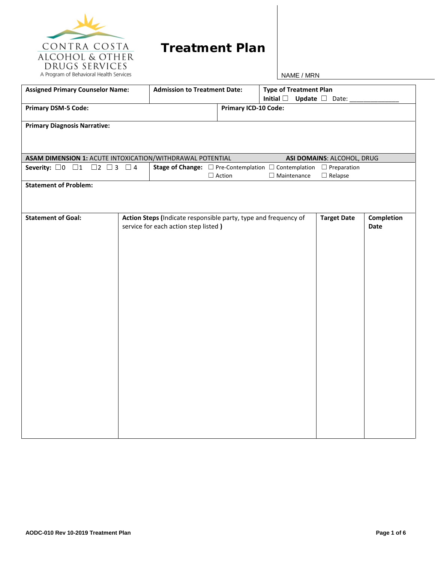

## **Treatment Plan**

| <b>Assigned Primary Counselor Name:</b>                   | <b>Admission to Treatment Date:</b> |                                                                                          |                             | <b>Type of Treatment Plan</b><br>Initial $\square$<br>Update $\square$ Date: |                            |            |  |
|-----------------------------------------------------------|-------------------------------------|------------------------------------------------------------------------------------------|-----------------------------|------------------------------------------------------------------------------|----------------------------|------------|--|
| <b>Primary DSM-5 Code:</b>                                |                                     |                                                                                          | <b>Primary ICD-10 Code:</b> |                                                                              |                            |            |  |
| <b>Primary Diagnosis Narrative:</b>                       |                                     |                                                                                          |                             |                                                                              |                            |            |  |
|                                                           |                                     |                                                                                          |                             |                                                                              |                            |            |  |
| ASAM DIMENSION 1: ACUTE INTOXICATION/WITHDRAWAL POTENTIAL |                                     |                                                                                          |                             |                                                                              | ASI DOMAINS: ALCOHOL, DRUG |            |  |
| Severity: $\Box$ 0 $\Box$ 1 $\Box$ 2 $\Box$ 3 $\Box$ 4    |                                     | <b>Stage of Change:</b> $\Box$ Pre-Contemplation $\Box$ Contemplation $\Box$ Preparation |                             |                                                                              |                            |            |  |
|                                                           |                                     |                                                                                          | $\Box$ Action               | $\Box$ Maintenance                                                           | $\Box$ Relapse             |            |  |
| <b>Statement of Problem:</b>                              |                                     |                                                                                          |                             |                                                                              |                            |            |  |
|                                                           |                                     |                                                                                          |                             |                                                                              |                            |            |  |
|                                                           |                                     |                                                                                          |                             |                                                                              |                            |            |  |
| <b>Statement of Goal:</b>                                 |                                     | Action Steps (Indicate responsible party, type and frequency of                          |                             |                                                                              | <b>Target Date</b>         | Completion |  |
|                                                           |                                     | service for each action step listed)                                                     |                             |                                                                              |                            | Date       |  |
|                                                           |                                     |                                                                                          |                             |                                                                              |                            |            |  |
|                                                           |                                     |                                                                                          |                             |                                                                              |                            |            |  |
|                                                           |                                     |                                                                                          |                             |                                                                              |                            |            |  |
|                                                           |                                     |                                                                                          |                             |                                                                              |                            |            |  |
|                                                           |                                     |                                                                                          |                             |                                                                              |                            |            |  |
|                                                           |                                     |                                                                                          |                             |                                                                              |                            |            |  |
|                                                           |                                     |                                                                                          |                             |                                                                              |                            |            |  |
|                                                           |                                     |                                                                                          |                             |                                                                              |                            |            |  |
|                                                           |                                     |                                                                                          |                             |                                                                              |                            |            |  |
|                                                           |                                     |                                                                                          |                             |                                                                              |                            |            |  |
|                                                           |                                     |                                                                                          |                             |                                                                              |                            |            |  |
|                                                           |                                     |                                                                                          |                             |                                                                              |                            |            |  |
|                                                           |                                     |                                                                                          |                             |                                                                              |                            |            |  |
|                                                           |                                     |                                                                                          |                             |                                                                              |                            |            |  |
|                                                           |                                     |                                                                                          |                             |                                                                              |                            |            |  |
|                                                           |                                     |                                                                                          |                             |                                                                              |                            |            |  |
|                                                           |                                     |                                                                                          |                             |                                                                              |                            |            |  |
|                                                           |                                     |                                                                                          |                             |                                                                              |                            |            |  |
|                                                           |                                     |                                                                                          |                             |                                                                              |                            |            |  |
|                                                           |                                     |                                                                                          |                             |                                                                              |                            |            |  |
|                                                           |                                     |                                                                                          |                             |                                                                              |                            |            |  |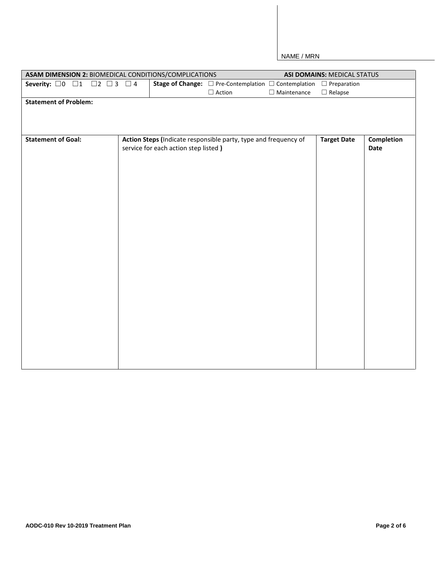| ASAM DIMENSION 2: BIOMEDICAL CONDITIONS/COMPLICATIONS     |                                                                 |                                                                                          |                    | <b>ASI DOMAINS: MEDICAL STATUS</b> |                   |
|-----------------------------------------------------------|-----------------------------------------------------------------|------------------------------------------------------------------------------------------|--------------------|------------------------------------|-------------------|
| $\Box$ 2 $\Box$ 3 $\Box$ 4<br>Severity: $\Box$ 0 $\Box$ 1 |                                                                 | <b>Stage of Change:</b> $\Box$ Pre-Contemplation $\Box$ Contemplation $\Box$ Preparation |                    |                                    |                   |
|                                                           |                                                                 | $\Box$ Action                                                                            | $\Box$ Maintenance | $\Box$ Relapse                     |                   |
| <b>Statement of Problem:</b>                              |                                                                 |                                                                                          |                    |                                    |                   |
|                                                           |                                                                 |                                                                                          |                    |                                    |                   |
| <b>Statement of Goal:</b>                                 | Action Steps (Indicate responsible party, type and frequency of |                                                                                          |                    | <b>Target Date</b>                 | <b>Completion</b> |
|                                                           | service for each action step listed)                            |                                                                                          |                    |                                    | Date              |
|                                                           |                                                                 |                                                                                          |                    |                                    |                   |
|                                                           |                                                                 |                                                                                          |                    |                                    |                   |
|                                                           |                                                                 |                                                                                          |                    |                                    |                   |
|                                                           |                                                                 |                                                                                          |                    |                                    |                   |
|                                                           |                                                                 |                                                                                          |                    |                                    |                   |
|                                                           |                                                                 |                                                                                          |                    |                                    |                   |
|                                                           |                                                                 |                                                                                          |                    |                                    |                   |
|                                                           |                                                                 |                                                                                          |                    |                                    |                   |
|                                                           |                                                                 |                                                                                          |                    |                                    |                   |
|                                                           |                                                                 |                                                                                          |                    |                                    |                   |
|                                                           |                                                                 |                                                                                          |                    |                                    |                   |
|                                                           |                                                                 |                                                                                          |                    |                                    |                   |
|                                                           |                                                                 |                                                                                          |                    |                                    |                   |
|                                                           |                                                                 |                                                                                          |                    |                                    |                   |
|                                                           |                                                                 |                                                                                          |                    |                                    |                   |
|                                                           |                                                                 |                                                                                          |                    |                                    |                   |
|                                                           |                                                                 |                                                                                          |                    |                                    |                   |
|                                                           |                                                                 |                                                                                          |                    |                                    |                   |
|                                                           |                                                                 |                                                                                          |                    |                                    |                   |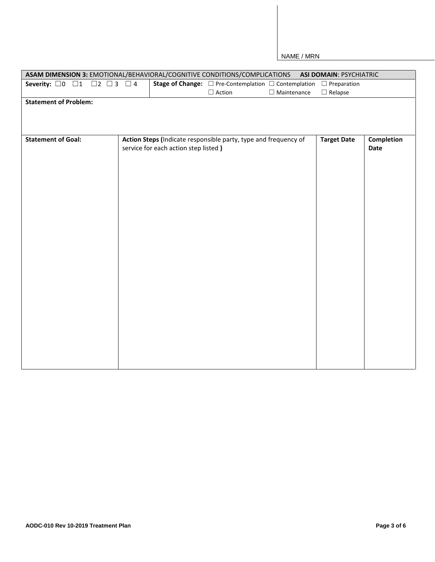|                                                        |                                      | ASAM DIMENSION 3: EMOTIONAL/BEHAVIORAL/COGNITIVE CONDITIONS/COMPLICATIONS                | <b>ASI DOMAIN: PSYCHIATRIC</b> |            |
|--------------------------------------------------------|--------------------------------------|------------------------------------------------------------------------------------------|--------------------------------|------------|
| Severity: $\Box 0$ $\Box 1$ $\Box 2$ $\Box 3$ $\Box 4$ |                                      | <b>Stage of Change:</b> $\Box$ Pre-Contemplation $\Box$ Contemplation $\Box$ Preparation |                                |            |
|                                                        |                                      | $\Box$ Maintenance<br>$\Box$ Action                                                      | $\Box$ Relapse                 |            |
| <b>Statement of Problem:</b>                           |                                      |                                                                                          |                                |            |
|                                                        |                                      |                                                                                          |                                |            |
|                                                        |                                      |                                                                                          |                                |            |
|                                                        |                                      |                                                                                          |                                |            |
| <b>Statement of Goal:</b>                              |                                      | Action Steps (Indicate responsible party, type and frequency of                          | <b>Target Date</b>             | Completion |
|                                                        | service for each action step listed) |                                                                                          |                                | Date       |
|                                                        |                                      |                                                                                          |                                |            |
|                                                        |                                      |                                                                                          |                                |            |
|                                                        |                                      |                                                                                          |                                |            |
|                                                        |                                      |                                                                                          |                                |            |
|                                                        |                                      |                                                                                          |                                |            |
|                                                        |                                      |                                                                                          |                                |            |
|                                                        |                                      |                                                                                          |                                |            |
|                                                        |                                      |                                                                                          |                                |            |
|                                                        |                                      |                                                                                          |                                |            |
|                                                        |                                      |                                                                                          |                                |            |
|                                                        |                                      |                                                                                          |                                |            |
|                                                        |                                      |                                                                                          |                                |            |
|                                                        |                                      |                                                                                          |                                |            |
|                                                        |                                      |                                                                                          |                                |            |
|                                                        |                                      |                                                                                          |                                |            |
|                                                        |                                      |                                                                                          |                                |            |
|                                                        |                                      |                                                                                          |                                |            |
|                                                        |                                      |                                                                                          |                                |            |
|                                                        |                                      |                                                                                          |                                |            |
|                                                        |                                      |                                                                                          |                                |            |
|                                                        |                                      |                                                                                          |                                |            |
|                                                        |                                      |                                                                                          |                                |            |
|                                                        |                                      |                                                                                          |                                |            |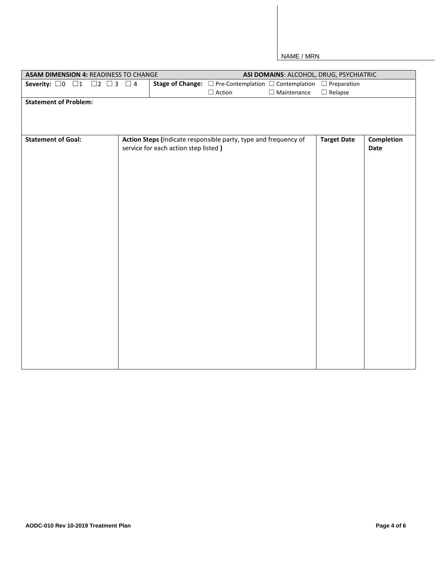| ASAM DIMENSION 4: READINESS TO CHANGE |                                     |                                      |                                                                                          | ASI DOMAINS: ALCOHOL, DRUG, PSYCHIATRIC |                    |                           |
|---------------------------------------|-------------------------------------|--------------------------------------|------------------------------------------------------------------------------------------|-----------------------------------------|--------------------|---------------------------|
| Severity: $\Box$ 0 $\Box$ 1           | $\square$ 2 $\square$ 3 $\square$ 4 |                                      | <b>Stage of Change:</b> $\Box$ Pre-Contemplation $\Box$ Contemplation $\Box$ Preparation |                                         |                    |                           |
|                                       |                                     |                                      | $\Box$ Action                                                                            | $\Box$ Maintenance                      | $\Box$ Relapse     |                           |
| <b>Statement of Problem:</b>          |                                     |                                      |                                                                                          |                                         |                    |                           |
|                                       |                                     |                                      |                                                                                          |                                         |                    |                           |
| <b>Statement of Goal:</b>             |                                     | service for each action step listed) | Action Steps (Indicate responsible party, type and frequency of                          |                                         | <b>Target Date</b> | <b>Completion</b><br>Date |
|                                       |                                     |                                      |                                                                                          |                                         |                    |                           |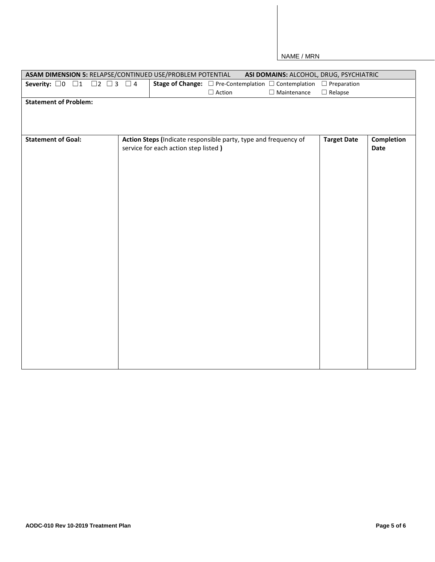| ASAM DIMENSION 5: RELAPSE/CONTINUED USE/PROBLEM POTENTIAL          |                                      | ASI DOMAINS: ALCOHOL, DRUG, PSYCHIATRIC                                                  |                    |                    |
|--------------------------------------------------------------------|--------------------------------------|------------------------------------------------------------------------------------------|--------------------|--------------------|
| $\square$ 2 $\square$ 3 $\square$ 4<br>Severity: $\Box$ 0 $\Box$ 1 |                                      | <b>Stage of Change:</b> $\Box$ Pre-Contemplation $\Box$ Contemplation $\Box$ Preparation |                    |                    |
|                                                                    |                                      | $\Box$ Maintenance<br>$\Box$<br>Action                                                   | $\Box$ Relapse     |                    |
| <b>Statement of Problem:</b>                                       |                                      |                                                                                          |                    |                    |
| <b>Statement of Goal:</b>                                          | service for each action step listed) | Action Steps (Indicate responsible party, type and frequency of                          | <b>Target Date</b> | Completion<br>Date |